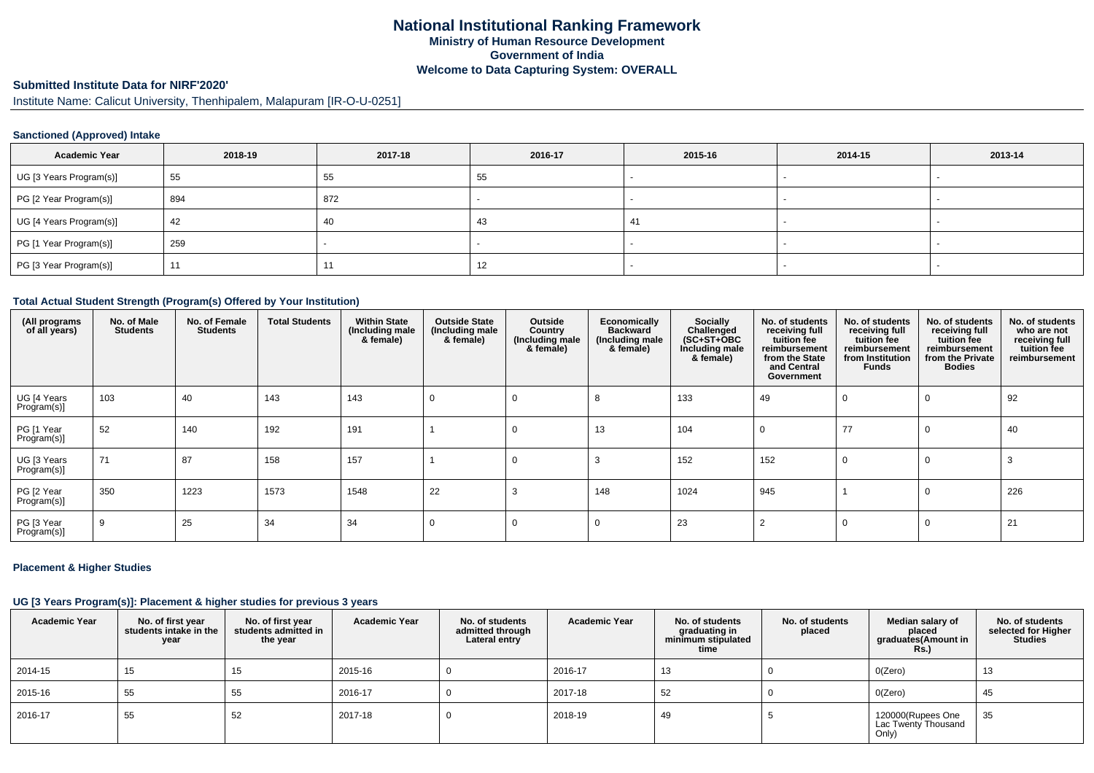# **Submitted Institute Data for NIRF'2020'**

Institute Name: Calicut University, Thenhipalem, Malapuram [IR-O-U-0251]

### **Sanctioned (Approved) Intake**

| <b>Academic Year</b>    | 2018-19 | 2017-18 | 2016-17 | 2015-16 | 2014-15 | 2013-14                  |
|-------------------------|---------|---------|---------|---------|---------|--------------------------|
| UG [3 Years Program(s)] | 55      | 55      | 55      |         |         | $\overline{\phantom{a}}$ |
| PG [2 Year Program(s)]  | 894     | 872     |         |         |         |                          |
| UG [4 Years Program(s)] | 42      | -40     | -43     | 41      |         |                          |
| PG [1 Year Program(s)]  | 259     |         |         |         |         |                          |
| PG [3 Year Program(s)]  | 11      |         | 12      |         |         | $\overline{\phantom{a}}$ |

#### **Total Actual Student Strength (Program(s) Offered by Your Institution)**

| (All programs<br>of all years) | No. of Male<br><b>Students</b> | No. of Female<br><b>Students</b> | <b>Total Students</b> | <b>Within State</b><br>(Including male<br>& female) | <b>Outside State</b><br>(Including male<br>& female) | Outside<br>Country<br>(Including male<br>& female) | Economically<br><b>Backward</b><br>(Including male<br>& female) | Socially<br>Challenged<br>$(SC+ST+OBC)$<br>Including male<br>& female) | No. of students<br>receiving full<br>tuition fee<br>reimbursement<br>from the State<br>and Central<br>Government | No. of students<br>receiving full<br>tuition fee<br>reimbursement<br>from Institution<br>Funds | No. of students<br>receiving full<br>tuition fee<br>reimbursement<br>from the Private<br><b>Bodies</b> | No. of students<br>who are not<br>receiving full<br>tuition fee<br>reimbursement |
|--------------------------------|--------------------------------|----------------------------------|-----------------------|-----------------------------------------------------|------------------------------------------------------|----------------------------------------------------|-----------------------------------------------------------------|------------------------------------------------------------------------|------------------------------------------------------------------------------------------------------------------|------------------------------------------------------------------------------------------------|--------------------------------------------------------------------------------------------------------|----------------------------------------------------------------------------------|
| UG [4 Years<br>Program(s)]     | 103                            | 40                               | 143                   | 143                                                 | -0                                                   | 0                                                  | -8                                                              | 133                                                                    | 49                                                                                                               |                                                                                                |                                                                                                        | 92                                                                               |
| PG [1 Year<br>Program(s)]      | 52                             | 140                              | 192                   | 191                                                 |                                                      | $\Omega$                                           | 13                                                              | 104                                                                    |                                                                                                                  | 77                                                                                             |                                                                                                        | 40                                                                               |
| UG [3 Years<br>Program(s)]     | 71                             | 87                               | 158                   | 157                                                 |                                                      | 0                                                  |                                                                 | 152                                                                    | 152                                                                                                              |                                                                                                |                                                                                                        |                                                                                  |
| PG [2 Year<br>Program(s)]      | 350                            | 1223                             | 1573                  | 1548                                                | 22                                                   |                                                    | 148                                                             | 1024                                                                   | 945                                                                                                              |                                                                                                |                                                                                                        | 226                                                                              |
| PG [3 Year<br>Program(s)]      | 9                              | 25                               | 34                    | 34                                                  |                                                      | 0                                                  | $\Omega$                                                        | 23                                                                     |                                                                                                                  |                                                                                                |                                                                                                        | 21                                                                               |

#### **Placement & Higher Studies**

#### **UG [3 Years Program(s)]: Placement & higher studies for previous 3 years**

| <b>Academic Year</b> | No. of first year<br>students intake in the<br>year | No. of first year<br>students admitted in<br>the year | <b>Academic Year</b> | No. of students<br>admitted through<br>Lateral entry | <b>Academic Year</b> | No. of students<br>graduating in<br>minimum stipulated<br>time | No. of students<br>placed | Median salary of<br>placed<br>graduates(Amount in<br><b>Rs.)</b> | No. of students<br>selected for Higher<br><b>Studies</b> |
|----------------------|-----------------------------------------------------|-------------------------------------------------------|----------------------|------------------------------------------------------|----------------------|----------------------------------------------------------------|---------------------------|------------------------------------------------------------------|----------------------------------------------------------|
| 2014-15              | 15                                                  | 15                                                    | 2015-16              |                                                      | 2016-17              | 13                                                             |                           | O(Zero)                                                          | 13                                                       |
| 2015-16              | 55                                                  | 55                                                    | 2016-17              |                                                      | 2017-18              | 52                                                             |                           | O(Zero)                                                          | 45                                                       |
| 2016-17              | 55                                                  | -52                                                   | 2017-18              |                                                      | 2018-19              | 49                                                             |                           | 120000(Rupees One<br>Lac Twenty Thousand<br>Only)                | 35                                                       |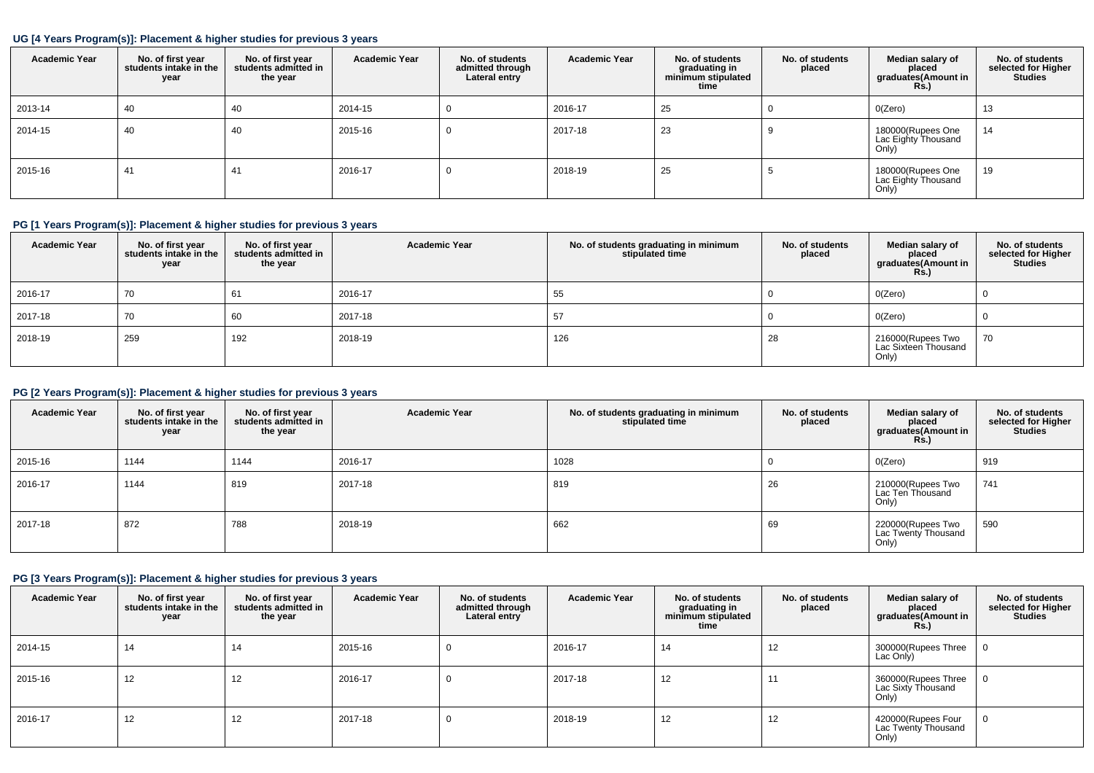### **UG [4 Years Program(s)]: Placement & higher studies for previous 3 years**

| <b>Academic Year</b> | No. of first year<br>students intake in the<br>year | No. of first year<br>students admitted in<br>the year | <b>Academic Year</b> | No. of students<br>admitted through<br>Lateral entry | <b>Academic Year</b> | No. of students<br>graduating in<br>minimum stipulated<br>time | No. of students<br>placed | Median salary of<br>placed<br>graduates(Amount in<br><b>Rs.</b> ) | No. of students<br>selected for Higher<br><b>Studies</b> |
|----------------------|-----------------------------------------------------|-------------------------------------------------------|----------------------|------------------------------------------------------|----------------------|----------------------------------------------------------------|---------------------------|-------------------------------------------------------------------|----------------------------------------------------------|
| 2013-14              | 40                                                  | 40                                                    | 2014-15              | O                                                    | 2016-17              | 25                                                             |                           | O(Zero)                                                           | 13                                                       |
| 2014-15              | 40                                                  | 40                                                    | 2015-16              | υ                                                    | 2017-18              | 23                                                             |                           | 180000(Rupees One<br>Lac Eighty Thousand<br>Only)                 | 14                                                       |
| 2015-16              | 41                                                  | 41                                                    | 2016-17              | υ                                                    | 2018-19              | 25                                                             |                           | 180000(Rupees One<br>Lac Eighty Thousand<br>Only)                 | 19                                                       |

# **PG [1 Years Program(s)]: Placement & higher studies for previous 3 years**

| <b>Academic Year</b> | No. of first year<br>students intake in the<br>year | No. of first year<br>students admitted in<br>the year | <b>Academic Year</b> | No. of students graduating in minimum<br>stipulated time | No. of students<br>placed | Median salary of<br>placed<br>graduates(Amount in<br>R <sub>s</sub> | No. of students<br>selected for Higher<br><b>Studies</b> |
|----------------------|-----------------------------------------------------|-------------------------------------------------------|----------------------|----------------------------------------------------------|---------------------------|---------------------------------------------------------------------|----------------------------------------------------------|
| 2016-17              | 70                                                  | 61                                                    | 2016-17              | 55                                                       |                           | O(Zero)                                                             |                                                          |
| 2017-18              | 70                                                  | 60                                                    | 2017-18              | 57                                                       |                           | O(Zero)                                                             |                                                          |
| 2018-19              | 259                                                 | 192                                                   | 2018-19              | 126                                                      | 28                        | 216000(Rupees Two<br>Lac Sixteen Thousand<br>Only)                  | 70                                                       |

# **PG [2 Years Program(s)]: Placement & higher studies for previous 3 years**

| <b>Academic Year</b> | No. of first year<br>students intake in the<br>year | No. of first year<br>students admitted in<br>the year | <b>Academic Year</b> | No. of students graduating in minimum<br>stipulated time | No. of students<br>placed | Median salary of<br>placed<br>graduates(Amount in<br><b>Rs.)</b> | No. of students<br>selected for Higher<br><b>Studies</b> |
|----------------------|-----------------------------------------------------|-------------------------------------------------------|----------------------|----------------------------------------------------------|---------------------------|------------------------------------------------------------------|----------------------------------------------------------|
| 2015-16              | 1144                                                | 1144                                                  | 2016-17              | 1028                                                     |                           | O(Zero)                                                          | 919                                                      |
| 2016-17              | 1144                                                | 819                                                   | 2017-18              | 819                                                      | 26                        | 210000(Rupees Two<br>Lac Ten Thousand<br>Only)                   | 741                                                      |
| 2017-18              | 872                                                 | 788                                                   | 2018-19              | 662                                                      | 69                        | 220000(Rupees Two<br>Lac Twenty Thousand<br>Only)                | 590                                                      |

# **PG [3 Years Program(s)]: Placement & higher studies for previous 3 years**

| <b>Academic Year</b> | No. of first year<br>students intake in the<br>year | No. of first vear<br>students admitted in<br>the year | <b>Academic Year</b> | No. of students<br>admitted through<br>Lateral entry | <b>Academic Year</b> | No. of students<br>graduating in<br>minimum stipulated<br>time | No. of students<br>placed | Median salary of<br>placed<br>graduates(Amount in<br>Rs.) | No. of students<br>selected for Higher<br><b>Studies</b> |
|----------------------|-----------------------------------------------------|-------------------------------------------------------|----------------------|------------------------------------------------------|----------------------|----------------------------------------------------------------|---------------------------|-----------------------------------------------------------|----------------------------------------------------------|
| 2014-15              | 14                                                  | 14                                                    | 2015-16              | 0                                                    | 2016-17              | 14                                                             | 12                        | 300000(Rupees Three<br>Lac Only)                          |                                                          |
| 2015-16              | 12                                                  | 12                                                    | 2016-17              | 0                                                    | 2017-18              | 12                                                             | 11                        | 360000(Rupees Three<br>Lac Sixty Thousand<br>Only)        |                                                          |
| 2016-17              | 12                                                  | 12                                                    | 2017-18              | 0                                                    | 2018-19              | 12                                                             | 12                        | 420000(Rupees Four<br>Lac Twenty Thousand<br>Only)        |                                                          |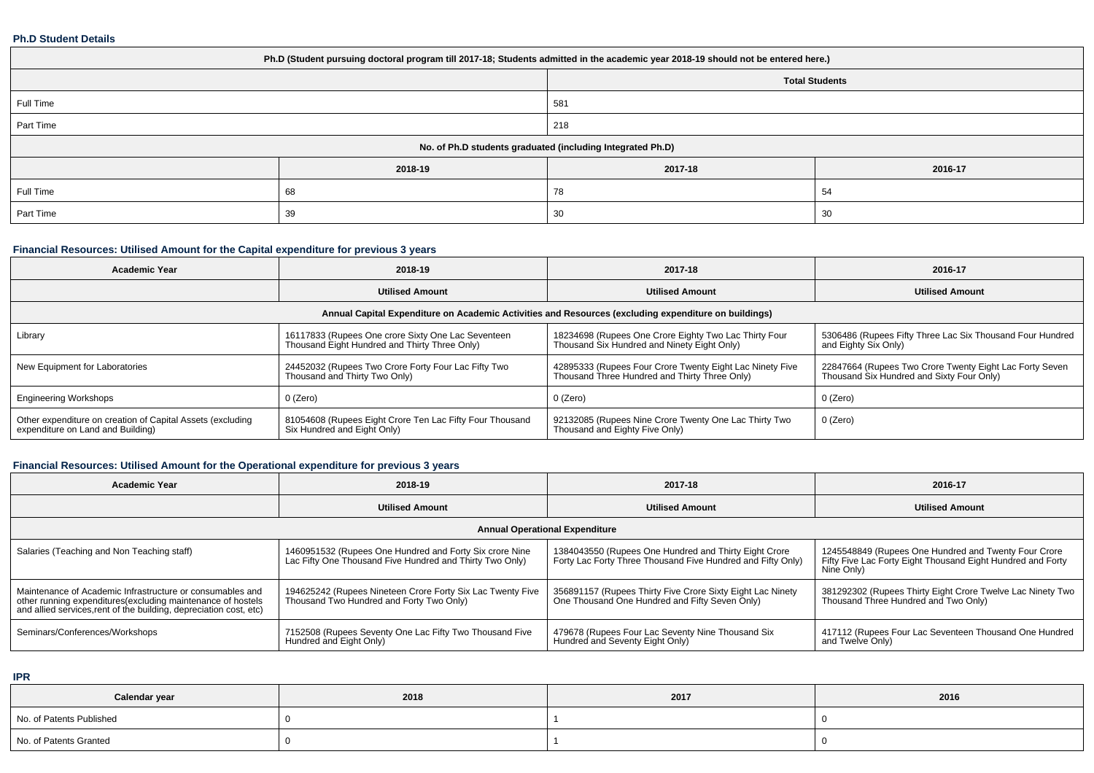#### **Ph.D Student Details**

| Ph.D (Student pursuing doctoral program till 2017-18; Students admitted in the academic year 2018-19 should not be entered here.) |         |         |         |  |  |  |
|-----------------------------------------------------------------------------------------------------------------------------------|---------|---------|---------|--|--|--|
| <b>Total Students</b>                                                                                                             |         |         |         |  |  |  |
| Full Time                                                                                                                         |         | 581     |         |  |  |  |
| Part Time                                                                                                                         |         | 218     |         |  |  |  |
| No. of Ph.D students graduated (including Integrated Ph.D)                                                                        |         |         |         |  |  |  |
|                                                                                                                                   | 2018-19 | 2017-18 | 2016-17 |  |  |  |
| Full Time                                                                                                                         | 68      | 78      | 54      |  |  |  |
| Part Time                                                                                                                         | 39      | 30      | 30      |  |  |  |

# **Financial Resources: Utilised Amount for the Capital expenditure for previous 3 years**

| <b>Academic Year</b>                                                                                 | 2018-19                                                                                              | 2017-18                                                                                                   | 2016-17                                                                                              |  |  |  |  |  |
|------------------------------------------------------------------------------------------------------|------------------------------------------------------------------------------------------------------|-----------------------------------------------------------------------------------------------------------|------------------------------------------------------------------------------------------------------|--|--|--|--|--|
|                                                                                                      | <b>Utilised Amount</b>                                                                               | <b>Utilised Amount</b>                                                                                    | <b>Utilised Amount</b>                                                                               |  |  |  |  |  |
| Annual Capital Expenditure on Academic Activities and Resources (excluding expenditure on buildings) |                                                                                                      |                                                                                                           |                                                                                                      |  |  |  |  |  |
| Library                                                                                              | 16117833 (Rupees One crore Sixty One Lac Seventeen<br>Thousand Eight Hundred and Thirty Three Only)  | 18234698 (Rupees One Crore Eighty Two Lac Thirty Four<br>Thousand Six Hundred and Ninety Eight Only)      | 5306486 (Rupees Fifty Three Lac Six Thousand Four Hundred<br>and Eighty Six Only)                    |  |  |  |  |  |
| New Equipment for Laboratories                                                                       | 24452032 (Rupees Two Crore Forty Four Lac Fifty Two<br>Thousand and Thirty Two Only)                 | 42895333 (Rupees Four Crore Twenty Eight Lac Ninety Five<br>Thousand Three Hundred and Thirty Three Only) | 22847664 (Rupees Two Crore Twenty Eight Lac Forty Seven<br>Thousand Six Hundred and Sixty Four Only) |  |  |  |  |  |
| <b>Engineering Workshops</b>                                                                         | 0 (Zero)                                                                                             | 0 (Zero)                                                                                                  | 0 (Zero)                                                                                             |  |  |  |  |  |
| Other expenditure on creation of Capital Assets (excluding<br>expenditure on Land and Building)      | <sup>1</sup> 81054608 (Rupees Eight Crore Ten Lac Fifty Four Thousand<br>Six Hundred and Eight Only) | 92132085 (Rupees Nine Crore Twenty One Lac Thirty Two<br>Thousand and Eighty Five Only)                   | $0$ (Zero)                                                                                           |  |  |  |  |  |

# **Financial Resources: Utilised Amount for the Operational expenditure for previous 3 years**

| <b>Academic Year</b>                                                                                                                                                                            | 2018-19                                                                                                             | 2017-18                                                                                                              | 2016-17                                                                                                                           |  |  |  |  |  |
|-------------------------------------------------------------------------------------------------------------------------------------------------------------------------------------------------|---------------------------------------------------------------------------------------------------------------------|----------------------------------------------------------------------------------------------------------------------|-----------------------------------------------------------------------------------------------------------------------------------|--|--|--|--|--|
|                                                                                                                                                                                                 | <b>Utilised Amount</b>                                                                                              | <b>Utilised Amount</b>                                                                                               | <b>Utilised Amount</b>                                                                                                            |  |  |  |  |  |
| <b>Annual Operational Expenditure</b>                                                                                                                                                           |                                                                                                                     |                                                                                                                      |                                                                                                                                   |  |  |  |  |  |
| Salaries (Teaching and Non Teaching staff)                                                                                                                                                      | 1460951532 (Rupees One Hundred and Forty Six crore Nine<br>Lac Fifty One Thousand Five Hundred and Thirty Two Only) | 1384043550 (Rupees One Hundred and Thirty Eight Crore<br>Forty Lac Forty Three Thousand Five Hundred and Fifty Only) | 1245548849 (Rupees One Hundred and Twenty Four Crore<br>Fifty Five Lac Forty Eight Thousand Eight Hundred and Forty<br>Nine Only) |  |  |  |  |  |
| Maintenance of Academic Infrastructure or consumables and<br>other running expenditures (excluding maintenance of hostels<br>and allied services, rent of the building, depreciation cost, etc) | 194625242 (Rupees Nineteen Crore Forty Six Lac Twenty Five<br>Thousand Two Hundred and Forty Two Only)              | 356891157 (Rupees Thirty Five Crore Sixty Eight Lac Ninety<br>One Thousand One Hundred and Fifty Seven Only)         | 381292302 (Rupees Thirty Eight Crore Twelve Lac Ninety Two<br>Thousand Three Hundred and Two Only)                                |  |  |  |  |  |
| Seminars/Conferences/Workshops                                                                                                                                                                  | 7152508 (Rupees Seventy One Lac Fifty Two Thousand Five<br>Hundred and Eight Only)                                  | 479678 (Rupees Four Lac Seventy Nine Thousand Six<br>Hundred and Seventy Eight Only)                                 | 417112 (Rupees Four Lac Seventeen Thousand One Hundred<br>and Twelve Only)                                                        |  |  |  |  |  |

**IPR**

| Calendar year            | 2018 | 2017 | 2016 |
|--------------------------|------|------|------|
| No. of Patents Published |      |      |      |
| No. of Patents Granted   |      |      |      |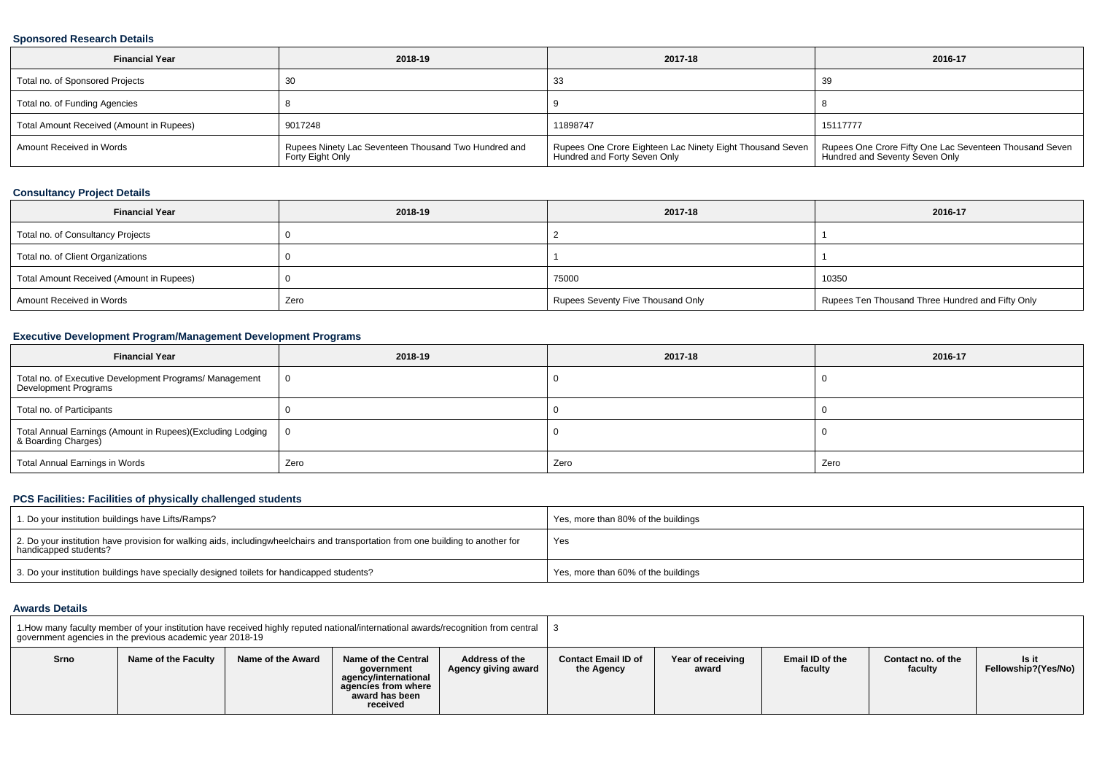### **Sponsored Research Details**

| <b>Financial Year</b>                    | 2018-19                                                                  | 2017-18                                                                                                                                                 | 2016-17  |
|------------------------------------------|--------------------------------------------------------------------------|---------------------------------------------------------------------------------------------------------------------------------------------------------|----------|
| Total no. of Sponsored Projects          |                                                                          | -33                                                                                                                                                     | 39       |
| Total no. of Funding Agencies            |                                                                          |                                                                                                                                                         |          |
| Total Amount Received (Amount in Rupees) | 9017248                                                                  | 11898747                                                                                                                                                | 15117777 |
| Amount Received in Words                 | Rupees Ninety Lac Seventeen Thousand Two Hundred and<br>Forty Eight Only | Rupees One Crore Eighteen Lac Ninety Eight Thousand Seven   Rupees One Crore Fifty One Lac Seventeen Thousand Seven  <br>  Hundred and Forty Seven Only |          |

# **Consultancy Project Details**

| <b>Financial Year</b>                    | 2018-19 | 2017-18                           | 2016-17                                          |
|------------------------------------------|---------|-----------------------------------|--------------------------------------------------|
| Total no. of Consultancy Projects        |         |                                   |                                                  |
| Total no. of Client Organizations        |         |                                   |                                                  |
| Total Amount Received (Amount in Rupees) |         | 75000                             | 10350                                            |
| Amount Received in Words                 | Zero    | Rupees Seventy Five Thousand Only | Rupees Ten Thousand Three Hundred and Fifty Only |

# **Executive Development Program/Management Development Programs**

| <b>Financial Year</b>                                                             | 2018-19        | 2017-18 | 2016-17 |
|-----------------------------------------------------------------------------------|----------------|---------|---------|
| Total no. of Executive Development Programs/ Management<br>Development Programs   | $\overline{0}$ |         |         |
| Total no. of Participants                                                         |                |         |         |
| Total Annual Earnings (Amount in Rupees)(Excluding Lodging<br>& Boarding Charges) | - 0            |         |         |
| Total Annual Earnings in Words                                                    | Zero           | Zero    | Zero    |

# **PCS Facilities: Facilities of physically challenged students**

| 1. Do your institution buildings have Lifts/Ramps?                                                                                                        | Yes, more than 80% of the buildings |
|-----------------------------------------------------------------------------------------------------------------------------------------------------------|-------------------------------------|
| 2. Do your institution have provision for walking aids, includingwheelchairs and transportation from one building to another for<br>handicapped students? | Yes                                 |
| 3. Do your institution buildings have specially designed toilets for handicapped students?                                                                | Yes, more than 60% of the buildings |

#### **Awards Details**

| 1. How many faculty member of your institution have received highly reputed national/international awards/recognition from central<br>government agencies in the previous academic year 2018-19 |                     |                   |                                                                                                                |                                       |                                          |                            |                            |                               |                              |
|-------------------------------------------------------------------------------------------------------------------------------------------------------------------------------------------------|---------------------|-------------------|----------------------------------------------------------------------------------------------------------------|---------------------------------------|------------------------------------------|----------------------------|----------------------------|-------------------------------|------------------------------|
| Srno                                                                                                                                                                                            | Name of the Faculty | Name of the Award | Name of the Central<br>government<br>agency/international<br>agencies from where<br>award has been<br>received | Address of the<br>Agency giving award | <b>Contact Email ID of</b><br>the Agency | Year of receiving<br>award | Email ID of the<br>facultv | Contact no, of the<br>faculty | Is it<br>Fellowship?(Yes/No) |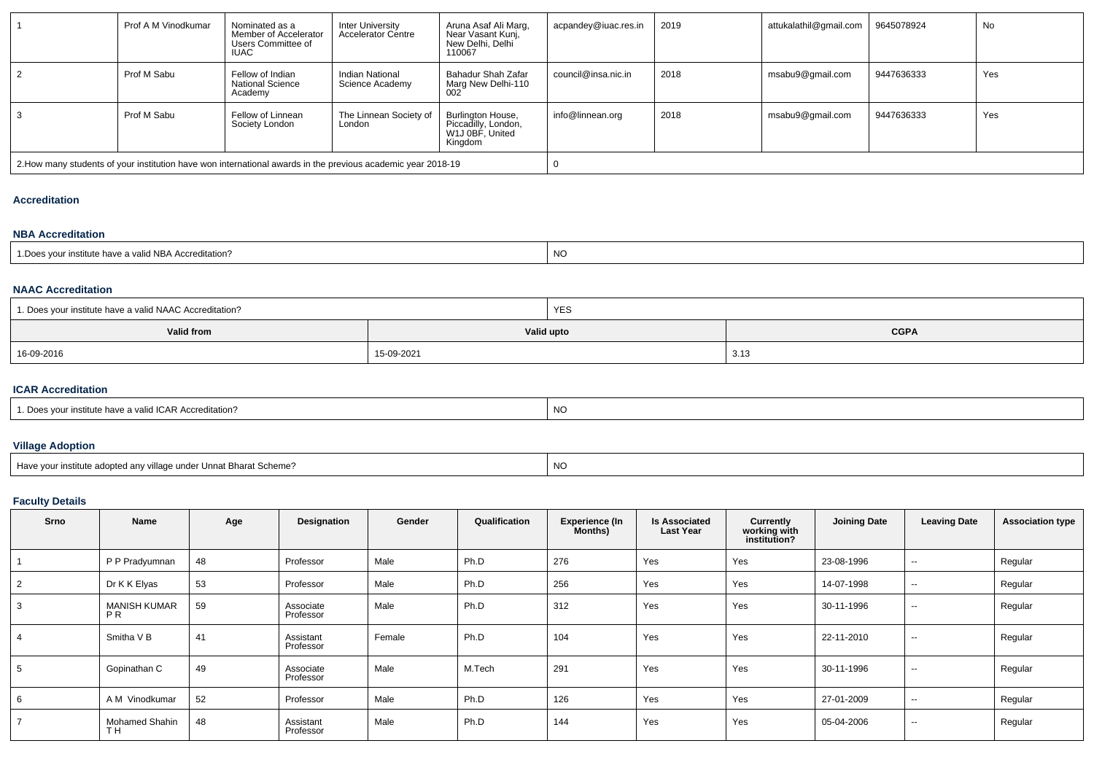|   | Prof A M Vinodkumar | Nominated as a<br>Member of Accelerator<br>Users Committee of<br><b>IUAC</b> | Inter University<br>Accelerator Centre                                                                       | Aruna Asaf Ali Marg.<br>Near Vasant Kunj,<br>New Delhi, Delhi<br>110067 | acpandey@iuac.res.in | 2019 | attukalathil@gmail.com | 9645078924 | No  |  |
|---|---------------------|------------------------------------------------------------------------------|--------------------------------------------------------------------------------------------------------------|-------------------------------------------------------------------------|----------------------|------|------------------------|------------|-----|--|
|   | Prof M Sabu         | Fellow of Indian<br><b>National Science</b><br>Academy                       | Indian National<br>Science Academy                                                                           | Bahadur Shah Zafar<br>Marg New Delhi-110<br>002                         | council@insa.nic.in  | 2018 | msabu9@gmail.com       | 9447636333 | Yes |  |
| 3 | Prof M Sabu         | Fellow of Linnean<br>Society London                                          | The Linnean Society of<br>London                                                                             | Burlington House,<br>Piccadilly, London,<br>W1J 0BF, United<br>Kingdom  | info@linnean.org     | 2018 | msabu9@gmail.com       | 9447636333 | Yes |  |
|   |                     |                                                                              | 2. How many students of your institution have won international awards in the previous academic year 2018-19 |                                                                         |                      |      |                        |            |     |  |

### **Accreditation**

### **NBA Accreditation**

| 1. Does your institute have a valid NBA Accreditation? | <b>NO</b> |
|--------------------------------------------------------|-----------|
|                                                        |           |
|                                                        |           |

#### **NAAC Accreditation**

| <sup>1</sup> 1. Does your institute have a valid NAAC Accreditation? |            | <b>YES</b>  |      |  |  |  |
|----------------------------------------------------------------------|------------|-------------|------|--|--|--|
| Valid from                                                           | Valid upto | <b>CGPA</b> |      |  |  |  |
| 16-09-2016                                                           | 15-09-2021 |             | 3.13 |  |  |  |

### **ICAR Accreditation**

| $\overline{\phantom{a}}$<br>your institute have a valid ICAR Accreditation? | <b>NC</b> |
|-----------------------------------------------------------------------------|-----------|
|                                                                             |           |

### **Village Adoption**

| Have your institute adopted any village under Unnat Bharat Scheme? | <b>NC</b> |
|--------------------------------------------------------------------|-----------|

# **Faculty Details**

| Srno | Name                             | Age | Designation            | Gender | Qualification | <b>Experience (In</b><br>Months) | <b>Is Associated</b><br><b>Last Year</b> | Currently<br>working with<br>institution? | <b>Joining Date</b> | <b>Leaving Date</b>      | <b>Association type</b> |
|------|----------------------------------|-----|------------------------|--------|---------------|----------------------------------|------------------------------------------|-------------------------------------------|---------------------|--------------------------|-------------------------|
|      | P P Pradyumnan                   | 48  | Professor              | Male   | Ph.D          | 276                              | Yes                                      | Yes                                       | 23-08-1996          | $\sim$                   | Regular                 |
| 2    | Dr K K Elyas                     | 53  | Professor              | Male   | Ph.D          | 256                              | Yes                                      | Yes                                       | 14-07-1998          | $\sim$                   | Regular                 |
| 3    | <b>MANISH KUMAR</b><br>PR        | 59  | Associate<br>Professor | Male   | Ph.D          | 312                              | Yes                                      | Yes                                       | 30-11-1996          | $\sim$                   | Regular                 |
|      | Smitha V B                       | 41  | Assistant<br>Professor | Female | Ph.D          | 104                              | Yes                                      | Yes                                       | 22-11-2010          | $\sim$                   | Regular                 |
| 5    | Gopinathan C                     | 49  | Associate<br>Professor | Male   | M.Tech        | 291                              | Yes                                      | Yes                                       | 30-11-1996          | $\sim$                   | Regular                 |
| 6    | A M Vinodkumar                   | 52  | Professor              | Male   | Ph.D          | 126                              | Yes                                      | Yes                                       | 27-01-2009          | $\sim$                   | Regular                 |
|      | Mohamed Shahin<br>TH <sub></sub> | 48  | Assistant<br>Professor | Male   | Ph.D          | 144                              | Yes                                      | Yes                                       | 05-04-2006          | $\overline{\phantom{a}}$ | Regular                 |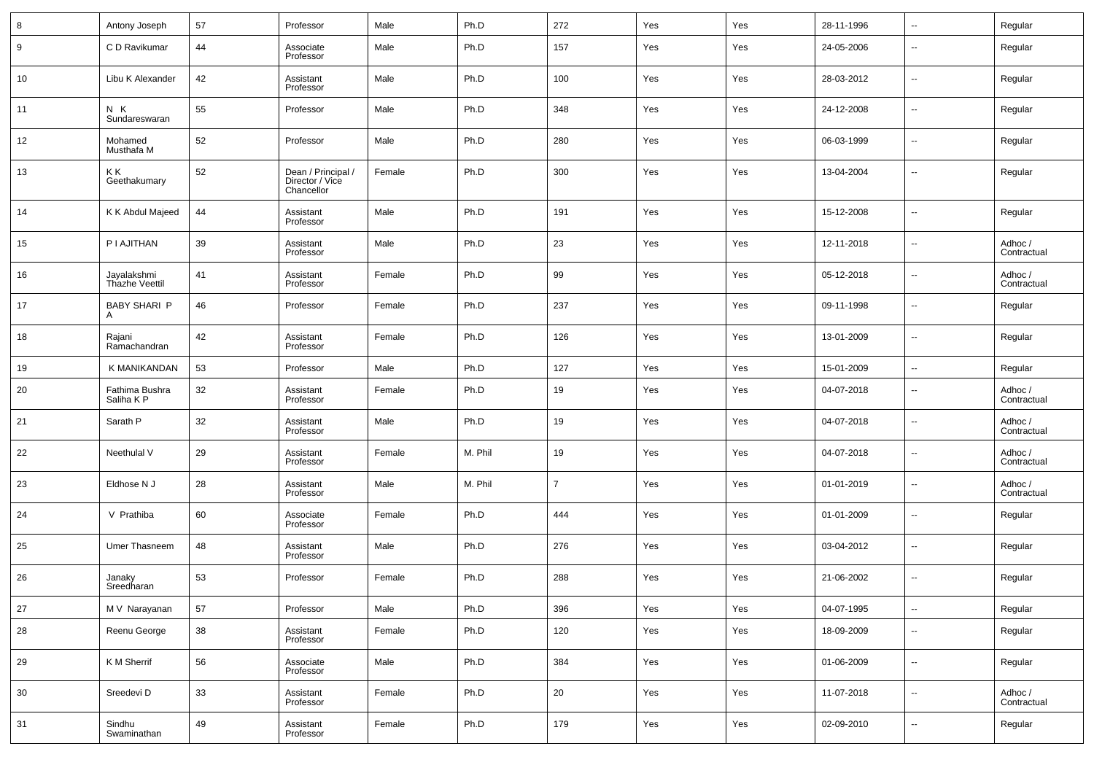| 8  | Antony Joseph                 | 57 | Professor                                           | Male   | Ph.D    | 272            | Yes | Yes | 28-11-1996 | $\overline{\phantom{a}}$ | Regular                |
|----|-------------------------------|----|-----------------------------------------------------|--------|---------|----------------|-----|-----|------------|--------------------------|------------------------|
| 9  | C D Ravikumar                 | 44 | Associate<br>Professor                              | Male   | Ph.D    | 157            | Yes | Yes | 24-05-2006 | $\overline{\phantom{a}}$ | Regular                |
| 10 | Libu K Alexander              | 42 | Assistant<br>Professor                              | Male   | Ph.D    | 100            | Yes | Yes | 28-03-2012 | $\overline{\phantom{a}}$ | Regular                |
| 11 | N K<br>Sundareswaran          | 55 | Professor                                           | Male   | Ph.D    | 348            | Yes | Yes | 24-12-2008 | $\overline{\phantom{a}}$ | Regular                |
| 12 | Mohamed<br>Musthafa M         | 52 | Professor                                           | Male   | Ph.D    | 280            | Yes | Yes | 06-03-1999 | $\overline{\phantom{a}}$ | Regular                |
| 13 | ΚK<br>Geethakumary            | 52 | Dean / Principal /<br>Director / Vice<br>Chancellor | Female | Ph.D    | 300            | Yes | Yes | 13-04-2004 | $\overline{\phantom{a}}$ | Regular                |
| 14 | K K Abdul Majeed              | 44 | Assistant<br>Professor                              | Male   | Ph.D    | 191            | Yes | Yes | 15-12-2008 | $\overline{\phantom{a}}$ | Regular                |
| 15 | P I AJITHAN                   | 39 | Assistant<br>Professor                              | Male   | Ph.D    | 23             | Yes | Yes | 12-11-2018 | $\overline{\phantom{a}}$ | Adhoc /<br>Contractual |
| 16 | Jayalakshmi<br>Thazhe Veettil | 41 | Assistant<br>Professor                              | Female | Ph.D    | 99             | Yes | Yes | 05-12-2018 | $\overline{\phantom{a}}$ | Adhoc /<br>Contractual |
| 17 | <b>BABY SHARI P</b><br>A      | 46 | Professor                                           | Female | Ph.D    | 237            | Yes | Yes | 09-11-1998 | $\overline{\phantom{a}}$ | Regular                |
| 18 | Rajani<br>Ramachandran        | 42 | Assistant<br>Professor                              | Female | Ph.D    | 126            | Yes | Yes | 13-01-2009 | $\overline{\phantom{a}}$ | Regular                |
| 19 | K MANIKANDAN                  | 53 | Professor                                           | Male   | Ph.D    | 127            | Yes | Yes | 15-01-2009 | $\overline{\phantom{a}}$ | Regular                |
| 20 | Fathima Bushra<br>Saliha K P  | 32 | Assistant<br>Professor                              | Female | Ph.D    | 19             | Yes | Yes | 04-07-2018 | $\overline{\phantom{a}}$ | Adhoc /<br>Contractual |
| 21 | Sarath P                      | 32 | Assistant<br>Professor                              | Male   | Ph.D    | 19             | Yes | Yes | 04-07-2018 | $\overline{\phantom{a}}$ | Adhoc /<br>Contractual |
| 22 | Neethulal V                   | 29 | Assistant<br>Professor                              | Female | M. Phil | 19             | Yes | Yes | 04-07-2018 | $\overline{\phantom{a}}$ | Adhoc /<br>Contractual |
| 23 | Eldhose N J                   | 28 | Assistant<br>Professor                              | Male   | M. Phil | $\overline{7}$ | Yes | Yes | 01-01-2019 | $\overline{\phantom{a}}$ | Adhoc /<br>Contractual |
| 24 | V Prathiba                    | 60 | Associate<br>Professor                              | Female | Ph.D    | 444            | Yes | Yes | 01-01-2009 | $\overline{\phantom{a}}$ | Regular                |
| 25 | Umer Thasneem                 | 48 | Assistant<br>Professor                              | Male   | Ph.D    | 276            | Yes | Yes | 03-04-2012 | $\overline{\phantom{a}}$ | Regular                |
| 26 | Janaky<br>Sreedharan          | 53 | Professor                                           | Female | Ph.D    | 288            | Yes | Yes | 21-06-2002 | $\overline{\phantom{a}}$ | Regular                |
| 27 | M V Narayanan                 | 57 | Professor                                           | Male   | Ph.D    | 396            | Yes | Yes | 04-07-1995 | $\overline{\phantom{a}}$ | Regular                |
| 28 | Reenu George                  | 38 | Assistant<br>Professor                              | Female | Ph.D    | 120            | Yes | Yes | 18-09-2009 | $\overline{\phantom{a}}$ | Regular                |
| 29 | K M Sherrif                   | 56 | Associate<br>Professor                              | Male   | Ph.D    | 384            | Yes | Yes | 01-06-2009 | $\overline{\phantom{a}}$ | Regular                |
| 30 | Sreedevi D                    | 33 | Assistant<br>Professor                              | Female | Ph.D    | 20             | Yes | Yes | 11-07-2018 | $\overline{\phantom{a}}$ | Adhoc /<br>Contractual |
| 31 | Sindhu<br>Swaminathan         | 49 | Assistant<br>Professor                              | Female | Ph.D    | 179            | Yes | Yes | 02-09-2010 | ۰.                       | Regular                |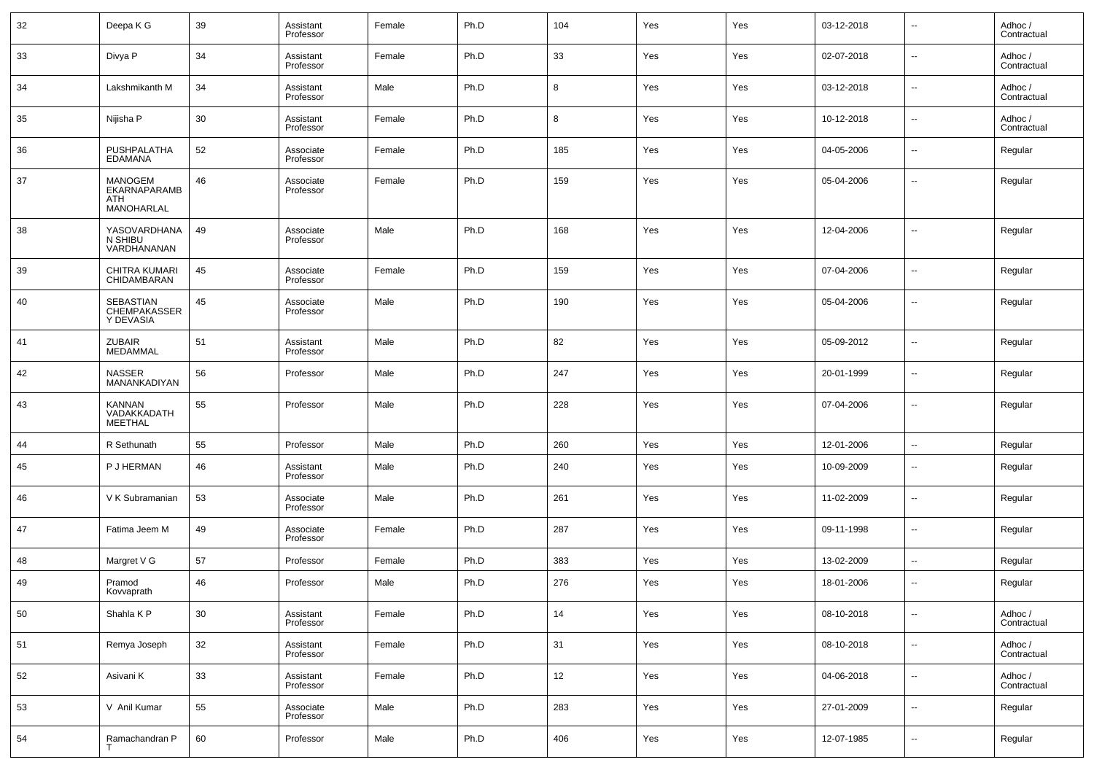| 32 | Deepa K G                                           | 39 | Assistant<br>Professor | Female | Ph.D | 104 | Yes | Yes | 03-12-2018 | н.                       | Adhoc/<br>Contractual  |
|----|-----------------------------------------------------|----|------------------------|--------|------|-----|-----|-----|------------|--------------------------|------------------------|
| 33 | Divya P                                             | 34 | Assistant<br>Professor | Female | Ph.D | 33  | Yes | Yes | 02-07-2018 | $\sim$                   | Adhoc /<br>Contractual |
| 34 | Lakshmikanth M                                      | 34 | Assistant<br>Professor | Male   | Ph.D | 8   | Yes | Yes | 03-12-2018 | $\overline{\phantom{a}}$ | Adhoc /<br>Contractual |
| 35 | Nijisha P                                           | 30 | Assistant<br>Professor | Female | Ph.D | 8   | Yes | Yes | 10-12-2018 | ⊷                        | Adhoc /<br>Contractual |
| 36 | PUSHPALATHA<br><b>EDAMANA</b>                       | 52 | Associate<br>Professor | Female | Ph.D | 185 | Yes | Yes | 04-05-2006 | $\overline{\phantom{a}}$ | Regular                |
| 37 | <b>MANOGEM</b><br>EKARNAPARAMB<br>ATH<br>MANOHARLAL | 46 | Associate<br>Professor | Female | Ph.D | 159 | Yes | Yes | 05-04-2006 | $\overline{\phantom{a}}$ | Regular                |
| 38 | YASOVARDHANA<br>N SHIBU<br>VARDHANANAN              | 49 | Associate<br>Professor | Male   | Ph.D | 168 | Yes | Yes | 12-04-2006 | --                       | Regular                |
| 39 | CHITRA KUMARI<br>CHIDAMBARAN                        | 45 | Associate<br>Professor | Female | Ph.D | 159 | Yes | Yes | 07-04-2006 | -−                       | Regular                |
| 40 | SEBASTIAN<br>CHEMPAKASSER<br>Y DEVASIA              | 45 | Associate<br>Professor | Male   | Ph.D | 190 | Yes | Yes | 05-04-2006 | -−                       | Regular                |
| 41 | <b>ZUBAIR</b><br>MEDAMMAL                           | 51 | Assistant<br>Professor | Male   | Ph.D | 82  | Yes | Yes | 05-09-2012 | $\overline{\phantom{a}}$ | Regular                |
| 42 | <b>NASSER</b><br>MANANKADIYAN                       | 56 | Professor              | Male   | Ph.D | 247 | Yes | Yes | 20-01-1999 | --                       | Regular                |
| 43 | KANNAN<br>VADAKKADATH<br><b>MEETHAL</b>             | 55 | Professor              | Male   | Ph.D | 228 | Yes | Yes | 07-04-2006 | ٠.                       | Regular                |
| 44 | R Sethunath                                         | 55 | Professor              | Male   | Ph.D | 260 | Yes | Yes | 12-01-2006 | ⊶.                       | Regular                |
| 45 | P J HERMAN                                          | 46 | Assistant<br>Professor | Male   | Ph.D | 240 | Yes | Yes | 10-09-2009 | --                       | Regular                |
| 46 | V K Subramanian                                     | 53 | Associate<br>Professor | Male   | Ph.D | 261 | Yes | Yes | 11-02-2009 | $\overline{\phantom{a}}$ | Regular                |
| 47 | Fatima Jeem M                                       | 49 | Associate<br>Professor | Female | Ph.D | 287 | Yes | Yes | 09-11-1998 | --                       | Regular                |
| 48 | Margret V G                                         | 57 | Professor              | Female | Ph.D | 383 | Yes | Yes | 13-02-2009 | н.                       | Regular                |
| 49 | Pramod<br>Kovvaprath                                | 46 | Professor              | Male   | Ph.D | 276 | Yes | Yes | 18-01-2006 | -−                       | Regular                |
| 50 | Shahla K P                                          | 30 | Assistant<br>Professor | Female | Ph.D | 14  | Yes | Yes | 08-10-2018 | ⊶.                       | Adhoc /<br>Contractual |
| 51 | Remya Joseph                                        | 32 | Assistant<br>Professor | Female | Ph.D | 31  | Yes | Yes | 08-10-2018 | н.                       | Adhoc /<br>Contractual |
| 52 | Asivani K                                           | 33 | Assistant<br>Professor | Female | Ph.D | 12  | Yes | Yes | 04-06-2018 | $\sim$                   | Adhoc /<br>Contractual |
| 53 | V Anil Kumar                                        | 55 | Associate<br>Professor | Male   | Ph.D | 283 | Yes | Yes | 27-01-2009 | н.                       | Regular                |
| 54 | Ramachandran P                                      | 60 | Professor              | Male   | Ph.D | 406 | Yes | Yes | 12-07-1985 | ⊶.                       | Regular                |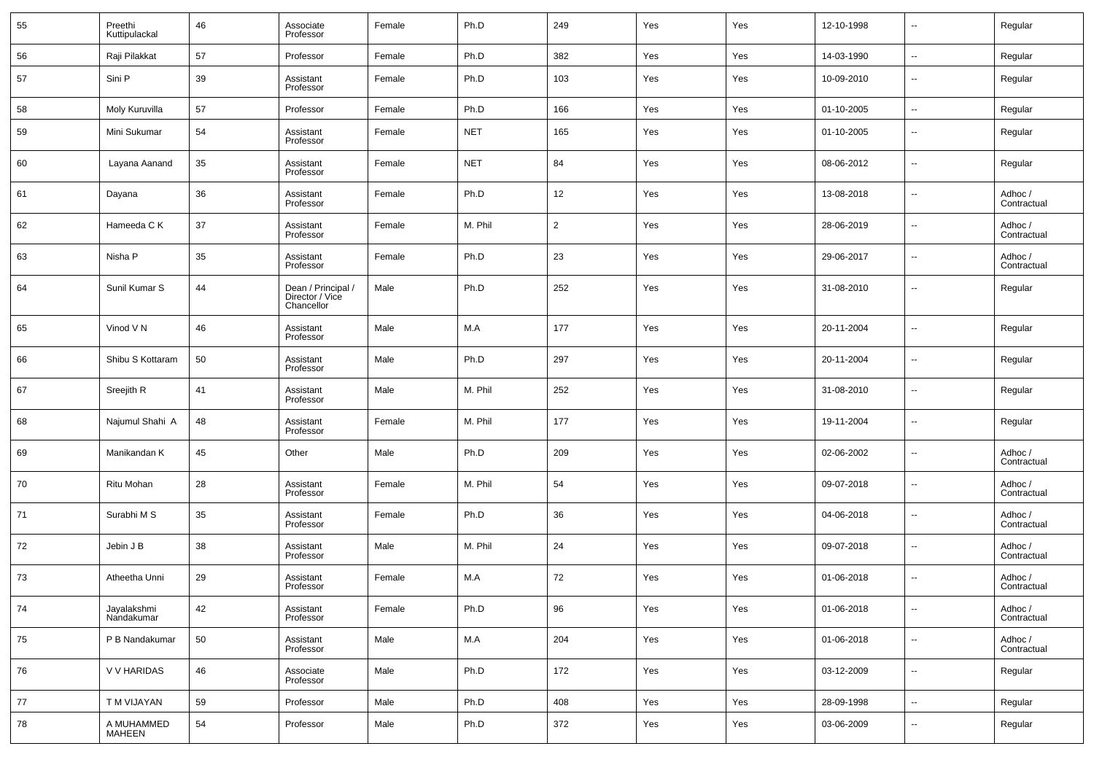| 55 | Preethi<br>Kuttipulackal  | 46 | Associate<br>Professor                              | Female | Ph.D       | 249            | Yes | Yes | 12-10-1998 | $\overline{\phantom{a}}$ | Regular                |
|----|---------------------------|----|-----------------------------------------------------|--------|------------|----------------|-----|-----|------------|--------------------------|------------------------|
| 56 | Raji Pilakkat             | 57 | Professor                                           | Female | Ph.D       | 382            | Yes | Yes | 14-03-1990 | $\sim$                   | Regular                |
| 57 | Sini P                    | 39 | Assistant<br>Professor                              | Female | Ph.D       | 103            | Yes | Yes | 10-09-2010 | $\overline{\phantom{a}}$ | Regular                |
| 58 | Moly Kuruvilla            | 57 | Professor                                           | Female | Ph.D       | 166            | Yes | Yes | 01-10-2005 | $\sim$                   | Regular                |
| 59 | Mini Sukumar              | 54 | Assistant<br>Professor                              | Female | <b>NET</b> | 165            | Yes | Yes | 01-10-2005 | $\overline{\phantom{a}}$ | Regular                |
| 60 | Layana Aanand             | 35 | Assistant<br>Professor                              | Female | <b>NET</b> | 84             | Yes | Yes | 08-06-2012 | $\overline{\phantom{a}}$ | Regular                |
| 61 | Dayana                    | 36 | Assistant<br>Professor                              | Female | Ph.D       | 12             | Yes | Yes | 13-08-2018 | $\overline{\phantom{a}}$ | Adhoc /<br>Contractual |
| 62 | Hameeda C K               | 37 | Assistant<br>Professor                              | Female | M. Phil    | $\overline{2}$ | Yes | Yes | 28-06-2019 | $\overline{\phantom{a}}$ | Adhoc /<br>Contractual |
| 63 | Nisha P                   | 35 | Assistant<br>Professor                              | Female | Ph.D       | 23             | Yes | Yes | 29-06-2017 | $\overline{\phantom{a}}$ | Adhoc /<br>Contractual |
| 64 | Sunil Kumar S             | 44 | Dean / Principal /<br>Director / Vice<br>Chancellor | Male   | Ph.D       | 252            | Yes | Yes | 31-08-2010 | $\overline{\phantom{a}}$ | Regular                |
| 65 | Vinod VN                  | 46 | Assistant<br>Professor                              | Male   | M.A        | 177            | Yes | Yes | 20-11-2004 | $\overline{\phantom{a}}$ | Regular                |
| 66 | Shibu S Kottaram          | 50 | Assistant<br>Professor                              | Male   | Ph.D       | 297            | Yes | Yes | 20-11-2004 | $\overline{\phantom{a}}$ | Regular                |
| 67 | Sreejith R                | 41 | Assistant<br>Professor                              | Male   | M. Phil    | 252            | Yes | Yes | 31-08-2010 | $\overline{\phantom{a}}$ | Regular                |
| 68 | Najumul Shahi A           | 48 | Assistant<br>Professor                              | Female | M. Phil    | 177            | Yes | Yes | 19-11-2004 | $\overline{\phantom{a}}$ | Regular                |
| 69 | Manikandan K              | 45 | Other                                               | Male   | Ph.D       | 209            | Yes | Yes | 02-06-2002 | $\overline{\phantom{a}}$ | Adhoc /<br>Contractual |
| 70 | Ritu Mohan                | 28 | Assistant<br>Professor                              | Female | M. Phil    | 54             | Yes | Yes | 09-07-2018 | $\overline{\phantom{a}}$ | Adhoc /<br>Contractual |
| 71 | Surabhi M S               | 35 | Assistant<br>Professor                              | Female | Ph.D       | 36             | Yes | Yes | 04-06-2018 | $\overline{\phantom{a}}$ | Adhoc /<br>Contractual |
| 72 | Jebin J B                 | 38 | Assistant<br>Professor                              | Male   | M. Phil    | 24             | Yes | Yes | 09-07-2018 | $\overline{\phantom{a}}$ | Adhoc /<br>Contractual |
| 73 | Atheetha Unni             | 29 | Assistant<br>Professor                              | Female | M.A        | 72             | Yes | Yes | 01-06-2018 | $\overline{\phantom{a}}$ | Adhoc /<br>Contractual |
| 74 | Jayalakshmi<br>Nandakumar | 42 | Assistant<br>Professor                              | Female | Ph.D       | 96             | Yes | Yes | 01-06-2018 | $\overline{\phantom{a}}$ | Adhoc /<br>Contractual |
| 75 | P B Nandakumar            | 50 | Assistant<br>Professor                              | Male   | M.A        | 204            | Yes | Yes | 01-06-2018 | $\sim$                   | Adhoc /<br>Contractual |
| 76 | V V HARIDAS               | 46 | Associate<br>Professor                              | Male   | Ph.D       | 172            | Yes | Yes | 03-12-2009 | $\overline{\phantom{a}}$ | Regular                |
| 77 | T M VIJAYAN               | 59 | Professor                                           | Male   | Ph.D       | 408            | Yes | Yes | 28-09-1998 | $\sim$                   | Regular                |
| 78 | A MUHAMMED<br>MAHEEN      | 54 | Professor                                           | Male   | Ph.D       | 372            | Yes | Yes | 03-06-2009 | $\overline{\phantom{a}}$ | Regular                |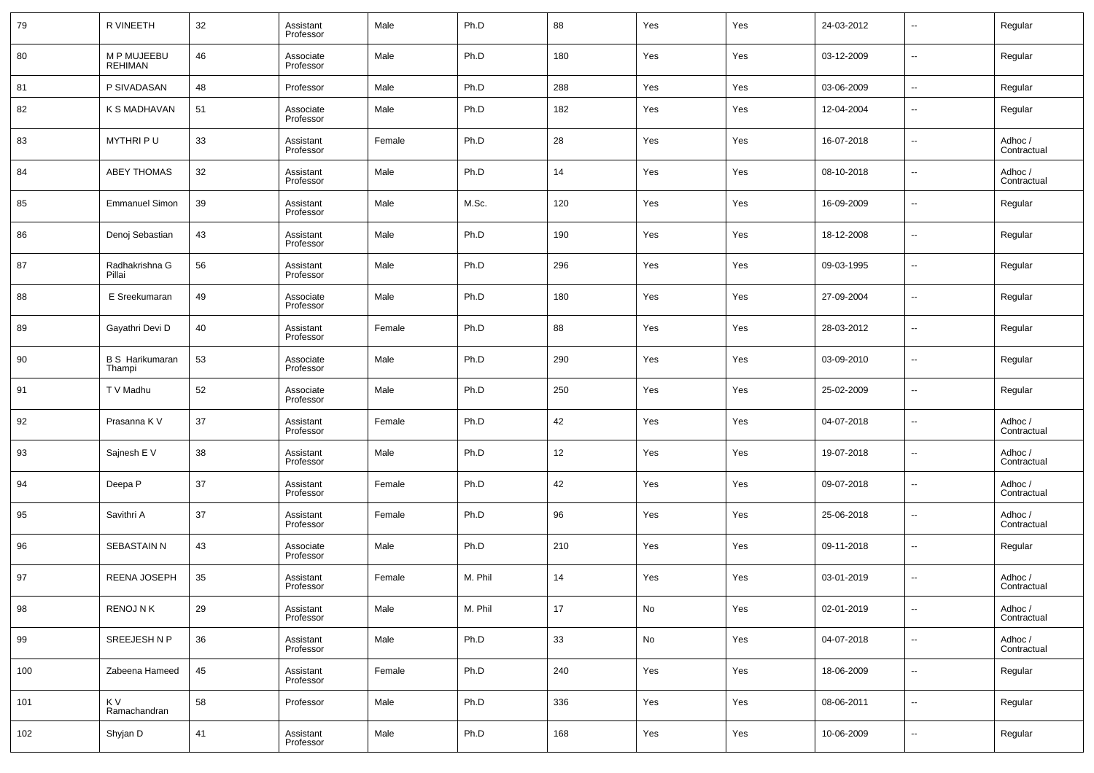| 79  | R VINEETH                        | 32 | Assistant<br>Professor | Male   | Ph.D    | 88  | Yes | Yes | 24-03-2012 | $\overline{\phantom{a}}$ | Regular                |
|-----|----------------------------------|----|------------------------|--------|---------|-----|-----|-----|------------|--------------------------|------------------------|
| 80  | M P MUJEEBU<br>REHIMAN           | 46 | Associate<br>Professor | Male   | Ph.D    | 180 | Yes | Yes | 03-12-2009 | $\overline{\phantom{a}}$ | Regular                |
| 81  | P SIVADASAN                      | 48 | Professor              | Male   | Ph.D    | 288 | Yes | Yes | 03-06-2009 | $\ddotsc$                | Regular                |
| 82  | K S MADHAVAN                     | 51 | Associate<br>Professor | Male   | Ph.D    | 182 | Yes | Yes | 12-04-2004 | $\overline{\phantom{a}}$ | Regular                |
| 83  | MYTHRI PU                        | 33 | Assistant<br>Professor | Female | Ph.D    | 28  | Yes | Yes | 16-07-2018 | $\overline{\phantom{a}}$ | Adhoc /<br>Contractual |
| 84  | <b>ABEY THOMAS</b>               | 32 | Assistant<br>Professor | Male   | Ph.D    | 14  | Yes | Yes | 08-10-2018 | $\overline{\phantom{a}}$ | Adhoc /<br>Contractual |
| 85  | <b>Emmanuel Simon</b>            | 39 | Assistant<br>Professor | Male   | M.Sc.   | 120 | Yes | Yes | 16-09-2009 | $\overline{\phantom{a}}$ | Regular                |
| 86  | Denoj Sebastian                  | 43 | Assistant<br>Professor | Male   | Ph.D    | 190 | Yes | Yes | 18-12-2008 | $\overline{\phantom{a}}$ | Regular                |
| 87  | Radhakrishna G<br>Pillai         | 56 | Assistant<br>Professor | Male   | Ph.D    | 296 | Yes | Yes | 09-03-1995 | $\overline{\phantom{a}}$ | Regular                |
| 88  | E Sreekumaran                    | 49 | Associate<br>Professor | Male   | Ph.D    | 180 | Yes | Yes | 27-09-2004 | $\overline{\phantom{a}}$ | Regular                |
| 89  | Gayathri Devi D                  | 40 | Assistant<br>Professor | Female | Ph.D    | 88  | Yes | Yes | 28-03-2012 | $\overline{\phantom{a}}$ | Regular                |
| 90  | <b>B S Harikumaran</b><br>Thampi | 53 | Associate<br>Professor | Male   | Ph.D    | 290 | Yes | Yes | 03-09-2010 | $\overline{\phantom{a}}$ | Regular                |
| 91  | T V Madhu                        | 52 | Associate<br>Professor | Male   | Ph.D    | 250 | Yes | Yes | 25-02-2009 | $\overline{\phantom{a}}$ | Regular                |
| 92  | Prasanna K V                     | 37 | Assistant<br>Professor | Female | Ph.D    | 42  | Yes | Yes | 04-07-2018 | $\overline{\phantom{a}}$ | Adhoc /<br>Contractual |
| 93  | Sajnesh E V                      | 38 | Assistant<br>Professor | Male   | Ph.D    | 12  | Yes | Yes | 19-07-2018 | $\overline{\phantom{a}}$ | Adhoc /<br>Contractual |
| 94  | Deepa P                          | 37 | Assistant<br>Professor | Female | Ph.D    | 42  | Yes | Yes | 09-07-2018 | $\overline{\phantom{a}}$ | Adhoc /<br>Contractual |
| 95  | Savithri A                       | 37 | Assistant<br>Professor | Female | Ph.D    | 96  | Yes | Yes | 25-06-2018 | $\overline{\phantom{a}}$ | Adhoc /<br>Contractual |
| 96  | SEBASTAIN N                      | 43 | Associate<br>Professor | Male   | Ph.D    | 210 | Yes | Yes | 09-11-2018 | $\overline{\phantom{a}}$ | Regular                |
| 97  | REENA JOSEPH                     | 35 | Assistant<br>Professor | Female | M. Phil | 14  | Yes | Yes | 03-01-2019 | $\overline{\phantom{a}}$ | Adhoc /<br>Contractual |
| 98  | RENOJ N K                        | 29 | Assistant<br>Professor | Male   | M. Phil | 17  | No  | Yes | 02-01-2019 | ۰.                       | Adhoc /<br>Contractual |
| 99  | SREEJESH N P                     | 36 | Assistant<br>Professor | Male   | Ph.D    | 33  | No  | Yes | 04-07-2018 | $\overline{\phantom{a}}$ | Adhoc /<br>Contractual |
| 100 | Zabeena Hameed                   | 45 | Assistant<br>Professor | Female | Ph.D    | 240 | Yes | Yes | 18-06-2009 | ۰.                       | Regular                |
| 101 | K V<br>Ramachandran              | 58 | Professor              | Male   | Ph.D    | 336 | Yes | Yes | 08-06-2011 | ۰.                       | Regular                |
| 102 | Shyjan D                         | 41 | Assistant<br>Professor | Male   | Ph.D    | 168 | Yes | Yes | 10-06-2009 | $\overline{\phantom{a}}$ | Regular                |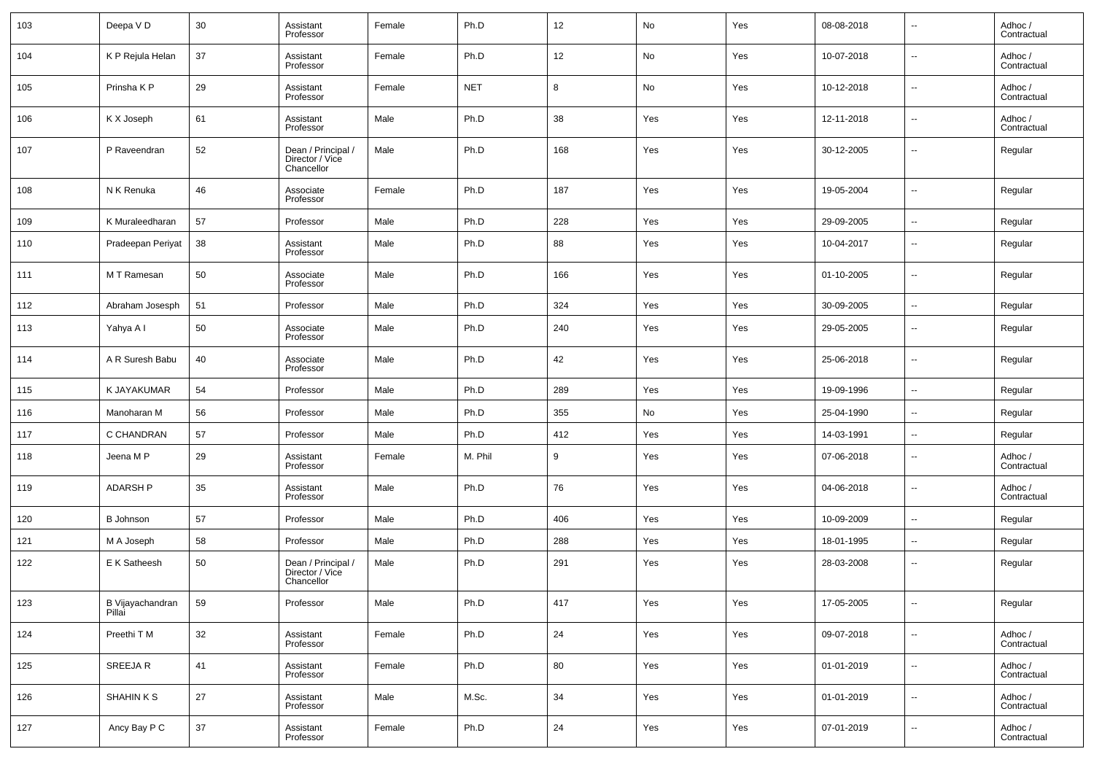| 103 | Deepa VD                   | 30 | Assistant<br>Professor                              | Female | Ph.D       | 12     | No  | Yes | 08-08-2018 | $\overline{\phantom{a}}$ | Adhoc /<br>Contractual |
|-----|----------------------------|----|-----------------------------------------------------|--------|------------|--------|-----|-----|------------|--------------------------|------------------------|
| 104 | K P Rejula Helan           | 37 | Assistant<br>Professor                              | Female | Ph.D       | 12     | No  | Yes | 10-07-2018 | $\overline{\phantom{a}}$ | Adhoc /<br>Contractual |
| 105 | Prinsha K P                | 29 | Assistant<br>Professor                              | Female | <b>NET</b> | 8      | No  | Yes | 10-12-2018 | $\overline{\phantom{a}}$ | Adhoc /<br>Contractual |
| 106 | K X Joseph                 | 61 | Assistant<br>Professor                              | Male   | Ph.D       | 38     | Yes | Yes | 12-11-2018 | $\overline{\phantom{a}}$ | Adhoc /<br>Contractual |
| 107 | P Raveendran               | 52 | Dean / Principal /<br>Director / Vice<br>Chancellor | Male   | Ph.D       | 168    | Yes | Yes | 30-12-2005 | $\overline{\phantom{a}}$ | Regular                |
| 108 | N K Renuka                 | 46 | Associate<br>Professor                              | Female | Ph.D       | 187    | Yes | Yes | 19-05-2004 | $\overline{\phantom{a}}$ | Regular                |
| 109 | K Muraleedharan            | 57 | Professor                                           | Male   | Ph.D       | 228    | Yes | Yes | 29-09-2005 | $\overline{\phantom{a}}$ | Regular                |
| 110 | Pradeepan Periyat          | 38 | Assistant<br>Professor                              | Male   | Ph.D       | 88     | Yes | Yes | 10-04-2017 | $\overline{\phantom{a}}$ | Regular                |
| 111 | M T Ramesan                | 50 | Associate<br>Professor                              | Male   | Ph.D       | 166    | Yes | Yes | 01-10-2005 | $\overline{\phantom{a}}$ | Regular                |
| 112 | Abraham Josesph            | 51 | Professor                                           | Male   | Ph.D       | 324    | Yes | Yes | 30-09-2005 | $\overline{\phantom{a}}$ | Regular                |
| 113 | Yahya A I                  | 50 | Associate<br>Professor                              | Male   | Ph.D       | 240    | Yes | Yes | 29-05-2005 | $\overline{\phantom{a}}$ | Regular                |
| 114 | A R Suresh Babu            | 40 | Associate<br>Professor                              | Male   | Ph.D       | 42     | Yes | Yes | 25-06-2018 | $\overline{\phantom{a}}$ | Regular                |
| 115 | K JAYAKUMAR                | 54 | Professor                                           | Male   | Ph.D       | 289    | Yes | Yes | 19-09-1996 | $\overline{\phantom{a}}$ | Regular                |
| 116 | Manoharan M                | 56 | Professor                                           | Male   | Ph.D       | 355    | No  | Yes | 25-04-1990 | $\overline{\phantom{a}}$ | Regular                |
| 117 | C CHANDRAN                 | 57 | Professor                                           | Male   | Ph.D       | 412    | Yes | Yes | 14-03-1991 | $\overline{\phantom{a}}$ | Regular                |
| 118 | Jeena M P                  | 29 | Assistant<br>Professor                              | Female | M. Phil    | 9      | Yes | Yes | 07-06-2018 | $\overline{\phantom{a}}$ | Adhoc /<br>Contractual |
| 119 | <b>ADARSH P</b>            | 35 | Assistant<br>Professor                              | Male   | Ph.D       | 76     | Yes | Yes | 04-06-2018 | $\overline{\phantom{a}}$ | Adhoc /<br>Contractual |
| 120 | <b>B</b> Johnson           | 57 | Professor                                           | Male   | Ph.D       | 406    | Yes | Yes | 10-09-2009 | $\overline{\phantom{a}}$ | Regular                |
| 121 | M A Joseph                 | 58 | Professor                                           | Male   | Ph.D       | 288    | Yes | Yes | 18-01-1995 | $\overline{\phantom{a}}$ | Regular                |
| 122 | E K Satheesh               | 50 | Dean / Principal /<br>Director / Vice<br>Chancellor | Male   | Ph.D       | 291    | Yes | Yes | 28-03-2008 | $\overline{\phantom{a}}$ | Regular                |
| 123 | B Vijayachandran<br>Pillai | 59 | Professor                                           | Male   | Ph.D       | 417    | Yes | Yes | 17-05-2005 | $\overline{\phantom{a}}$ | Regular                |
| 124 | Preethi T M                | 32 | Assistant<br>Professor                              | Female | Ph.D       | 24     | Yes | Yes | 09-07-2018 | $\overline{\phantom{a}}$ | Adhoc /<br>Contractual |
| 125 | SREEJA R                   | 41 | Assistant<br>Professor                              | Female | Ph.D       | 80     | Yes | Yes | 01-01-2019 | $\overline{\phantom{a}}$ | Adhoc /<br>Contractual |
| 126 | SHAHIN K S                 | 27 | Assistant<br>Professor                              | Male   | M.Sc.      | 34     | Yes | Yes | 01-01-2019 | $\overline{\phantom{a}}$ | Adhoc /<br>Contractual |
| 127 | Ancy Bay P C               | 37 | Assistant<br>Professor                              | Female | Ph.D       | $24\,$ | Yes | Yes | 07-01-2019 | $\overline{\phantom{a}}$ | Adhoc /<br>Contractual |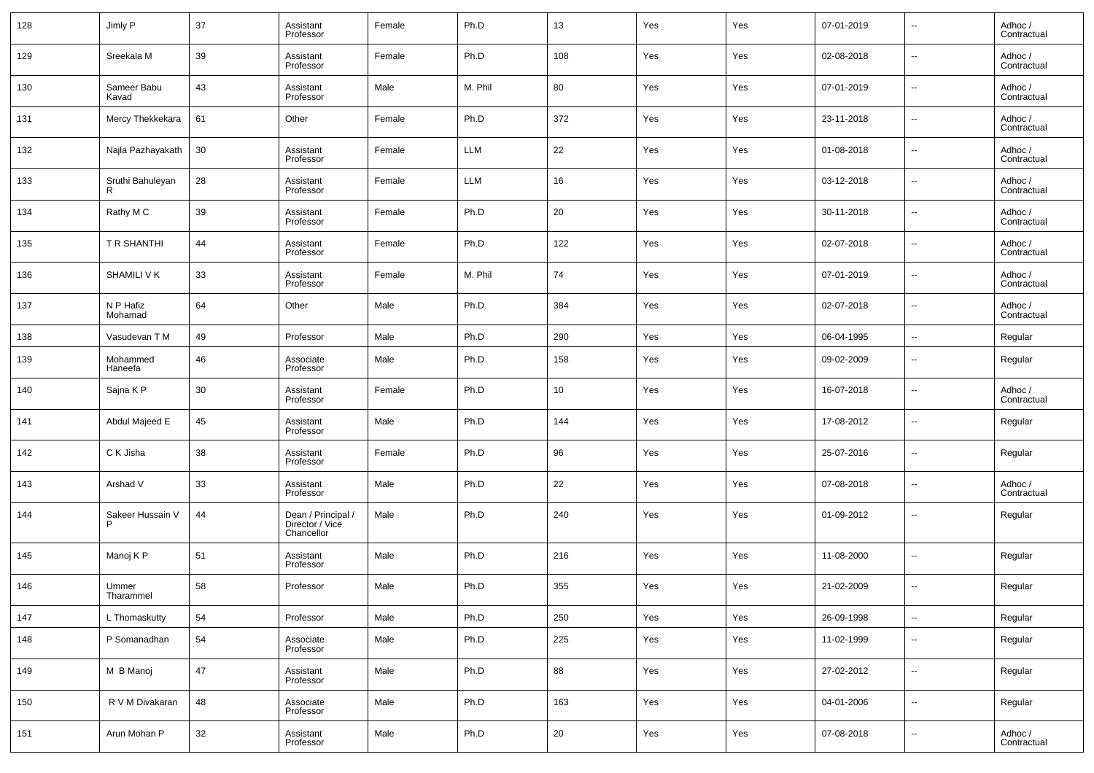| 128 | Jimly P               | 37 | Assistant<br>Professor                              | Female | Ph.D       | 13  | Yes | Yes | 07-01-2019 | $\overline{\phantom{a}}$ | Adhoc /<br>Contractual |
|-----|-----------------------|----|-----------------------------------------------------|--------|------------|-----|-----|-----|------------|--------------------------|------------------------|
| 129 | Sreekala M            | 39 | Assistant<br>Professor                              | Female | Ph.D       | 108 | Yes | Yes | 02-08-2018 | --                       | Adhoc /<br>Contractual |
| 130 | Sameer Babu<br>Kavad  | 43 | Assistant<br>Professor                              | Male   | M. Phil    | 80  | Yes | Yes | 07-01-2019 | $\overline{\phantom{a}}$ | Adhoc /<br>Contractual |
| 131 | Mercy Thekkekara      | 61 | Other                                               | Female | Ph.D       | 372 | Yes | Yes | 23-11-2018 | $\overline{\phantom{a}}$ | Adhoc /<br>Contractual |
| 132 | Najla Pazhayakath     | 30 | Assistant<br>Professor                              | Female | <b>LLM</b> | 22  | Yes | Yes | 01-08-2018 | $\overline{\phantom{a}}$ | Adhoc /<br>Contractual |
| 133 | Sruthi Bahuleyan      | 28 | Assistant<br>Professor                              | Female | <b>LLM</b> | 16  | Yes | Yes | 03-12-2018 | $\overline{\phantom{a}}$ | Adhoc /<br>Contractual |
| 134 | Rathy M C             | 39 | Assistant<br>Professor                              | Female | Ph.D       | 20  | Yes | Yes | 30-11-2018 | $\overline{\phantom{a}}$ | Adhoc /<br>Contractual |
| 135 | T R SHANTHI           | 44 | Assistant<br>Professor                              | Female | Ph.D       | 122 | Yes | Yes | 02-07-2018 | $\overline{\phantom{a}}$ | Adhoc /<br>Contractual |
| 136 | SHAMILI V K           | 33 | Assistant<br>Professor                              | Female | M. Phil    | 74  | Yes | Yes | 07-01-2019 | $\overline{\phantom{a}}$ | Adhoc /<br>Contractual |
| 137 | N P Hafiz<br>Mohamad  | 64 | Other                                               | Male   | Ph.D       | 384 | Yes | Yes | 02-07-2018 | --                       | Adhoc /<br>Contractual |
| 138 | Vasudevan T M         | 49 | Professor                                           | Male   | Ph.D       | 290 | Yes | Yes | 06-04-1995 | $\overline{\phantom{a}}$ | Regular                |
| 139 | Mohammed<br>Haneefa   | 46 | Associate<br>Professor                              | Male   | Ph.D       | 158 | Yes | Yes | 09-02-2009 | $\overline{\phantom{a}}$ | Regular                |
| 140 | Sajna K P             | 30 | Assistant<br>Professor                              | Female | Ph.D       | 10  | Yes | Yes | 16-07-2018 | $\overline{\phantom{a}}$ | Adhoc /<br>Contractual |
| 141 | Abdul Majeed E        | 45 | Assistant<br>Professor                              | Male   | Ph.D       | 144 | Yes | Yes | 17-08-2012 | $\overline{\phantom{a}}$ | Regular                |
| 142 | C K Jisha             | 38 | Assistant<br>Professor                              | Female | Ph.D       | 96  | Yes | Yes | 25-07-2016 | $\overline{\phantom{a}}$ | Regular                |
| 143 | Arshad V              | 33 | Assistant<br>Professor                              | Male   | Ph.D       | 22  | Yes | Yes | 07-08-2018 | $\overline{\phantom{a}}$ | Adhoc /<br>Contractual |
| 144 | Sakeer Hussain V<br>P | 44 | Dean / Principal /<br>Director / Vice<br>Chancellor | Male   | Ph.D       | 240 | Yes | Yes | 01-09-2012 | $\overline{\phantom{a}}$ | Regular                |
| 145 | Manoj K P             | 51 | Assistant<br>Professor                              | Male   | Ph.D       | 216 | Yes | Yes | 11-08-2000 | $\sim$                   | Regular                |
| 146 | Ummer<br>Tharammel    | 58 | Professor                                           | Male   | Ph.D       | 355 | Yes | Yes | 21-02-2009 | $\sim$                   | Regular                |
| 147 | L Thomaskutty         | 54 | Professor                                           | Male   | Ph.D       | 250 | Yes | Yes | 26-09-1998 | ۰.                       | Regular                |
| 148 | P Somanadhan          | 54 | Associate<br>Professor                              | Male   | Ph.D       | 225 | Yes | Yes | 11-02-1999 | $\overline{\phantom{a}}$ | Regular                |
| 149 | M B Manoj             | 47 | Assistant<br>Professor                              | Male   | Ph.D       | 88  | Yes | Yes | 27-02-2012 | ۰.                       | Regular                |
| 150 | R V M Divakaran       | 48 | Associate<br>Professor                              | Male   | Ph.D       | 163 | Yes | Yes | 04-01-2006 | $\overline{\phantom{a}}$ | Regular                |
| 151 | Arun Mohan P          | 32 | Assistant<br>Professor                              | Male   | Ph.D       | 20  | Yes | Yes | 07-08-2018 | $\overline{\phantom{a}}$ | Adhoc /<br>Contractual |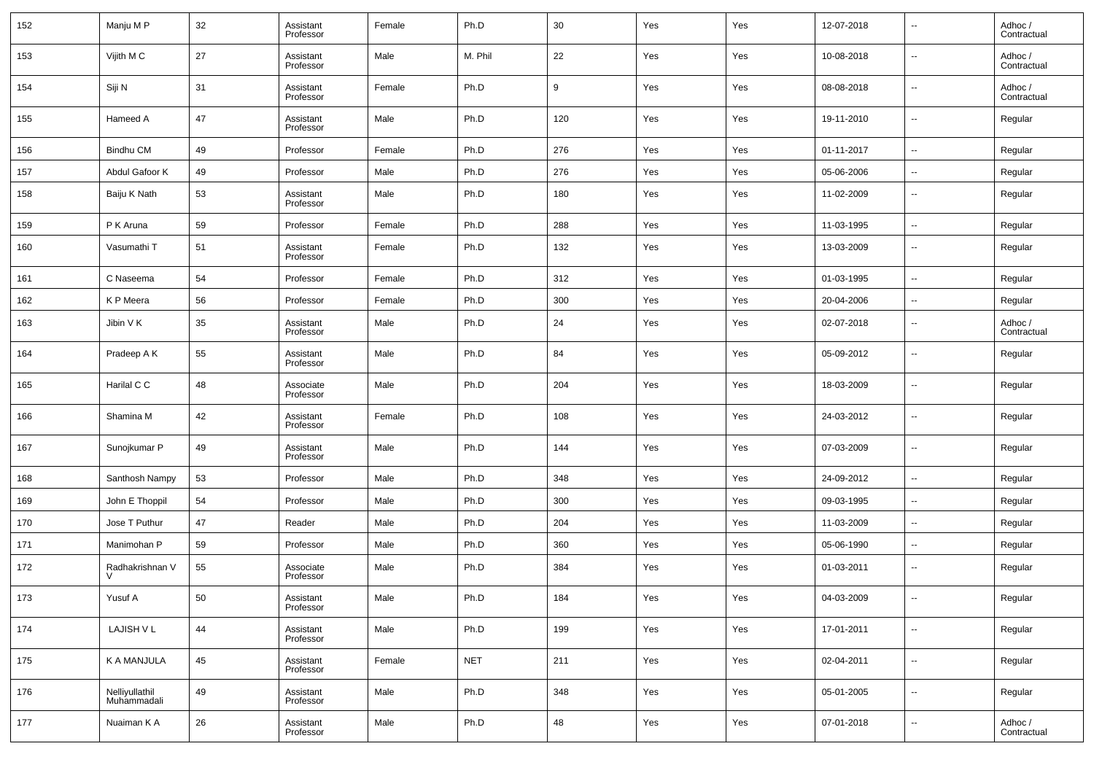| 152 | Manju M P                     | 32 | Assistant<br>Professor | Female | Ph.D       | 30  | Yes | Yes | 12-07-2018 | $\sim$                   | Adhoc /<br>Contractual |
|-----|-------------------------------|----|------------------------|--------|------------|-----|-----|-----|------------|--------------------------|------------------------|
| 153 | Vijith M C                    | 27 | Assistant<br>Professor | Male   | M. Phil    | 22  | Yes | Yes | 10-08-2018 | $\overline{\phantom{a}}$ | Adhoc /<br>Contractual |
| 154 | Siji N                        | 31 | Assistant<br>Professor | Female | Ph.D       | 9   | Yes | Yes | 08-08-2018 | $\sim$                   | Adhoc /<br>Contractual |
| 155 | Hameed A                      | 47 | Assistant<br>Professor | Male   | Ph.D       | 120 | Yes | Yes | 19-11-2010 | $\overline{\phantom{a}}$ | Regular                |
| 156 | Bindhu CM                     | 49 | Professor              | Female | Ph.D       | 276 | Yes | Yes | 01-11-2017 | $\overline{\phantom{a}}$ | Regular                |
| 157 | Abdul Gafoor K                | 49 | Professor              | Male   | Ph.D       | 276 | Yes | Yes | 05-06-2006 | $\sim$                   | Regular                |
| 158 | Baiju K Nath                  | 53 | Assistant<br>Professor | Male   | Ph.D       | 180 | Yes | Yes | 11-02-2009 | $\overline{\phantom{a}}$ | Regular                |
| 159 | P K Aruna                     | 59 | Professor              | Female | Ph.D       | 288 | Yes | Yes | 11-03-1995 | $\sim$                   | Regular                |
| 160 | Vasumathi T                   | 51 | Assistant<br>Professor | Female | Ph.D       | 132 | Yes | Yes | 13-03-2009 | $\sim$                   | Regular                |
| 161 | C Naseema                     | 54 | Professor              | Female | Ph.D       | 312 | Yes | Yes | 01-03-1995 | $\overline{\phantom{a}}$ | Regular                |
| 162 | K P Meera                     | 56 | Professor              | Female | Ph.D       | 300 | Yes | Yes | 20-04-2006 | $\overline{\phantom{a}}$ | Regular                |
| 163 | Jibin V K                     | 35 | Assistant<br>Professor | Male   | Ph.D       | 24  | Yes | Yes | 02-07-2018 | $\overline{\phantom{a}}$ | Adhoc /<br>Contractual |
| 164 | Pradeep A K                   | 55 | Assistant<br>Professor | Male   | Ph.D       | 84  | Yes | Yes | 05-09-2012 | $\sim$                   | Regular                |
| 165 | Harilal C C                   | 48 | Associate<br>Professor | Male   | Ph.D       | 204 | Yes | Yes | 18-03-2009 | --                       | Regular                |
| 166 | Shamina M                     | 42 | Assistant<br>Professor | Female | Ph.D       | 108 | Yes | Yes | 24-03-2012 | ц,                       | Regular                |
| 167 | Sunojkumar P                  | 49 | Assistant<br>Professor | Male   | Ph.D       | 144 | Yes | Yes | 07-03-2009 | $\sim$                   | Regular                |
| 168 | Santhosh Nampy                | 53 | Professor              | Male   | Ph.D       | 348 | Yes | Yes | 24-09-2012 | $\overline{\phantom{a}}$ | Regular                |
| 169 | John E Thoppil                | 54 | Professor              | Male   | Ph.D       | 300 | Yes | Yes | 09-03-1995 | $\overline{\phantom{a}}$ | Regular                |
| 170 | Jose T Puthur                 | 47 | Reader                 | Male   | Ph.D       | 204 | Yes | Yes | 11-03-2009 | --                       | Regular                |
| 171 | Manimohan P                   | 59 | Professor              | Male   | Ph.D       | 360 | Yes | Yes | 05-06-1990 | --                       | Regular                |
| 172 | Radhakrishnan V<br>$\vee$     | 55 | Associate<br>Professor | Male   | Ph.D       | 384 | Yes | Yes | 01-03-2011 | $\sim$                   | Regular                |
| 173 | Yusuf A                       | 50 | Assistant<br>Professor | Male   | Ph.D       | 184 | Yes | Yes | 04-03-2009 | $\sim$                   | Regular                |
| 174 | LAJISH V L                    | 44 | Assistant<br>Professor | Male   | Ph.D       | 199 | Yes | Yes | 17-01-2011 | $\overline{\phantom{a}}$ | Regular                |
| 175 | K A MANJULA                   | 45 | Assistant<br>Professor | Female | <b>NET</b> | 211 | Yes | Yes | 02-04-2011 | $\ddotsc$                | Regular                |
| 176 | Nelliyullathil<br>Muhammadali | 49 | Assistant<br>Professor | Male   | Ph.D       | 348 | Yes | Yes | 05-01-2005 | $\ddotsc$                | Regular                |
| 177 | Nuaiman K A                   | 26 | Assistant<br>Professor | Male   | Ph.D       | 48  | Yes | Yes | 07-01-2018 | $\sim$                   | Adhoc /<br>Contractual |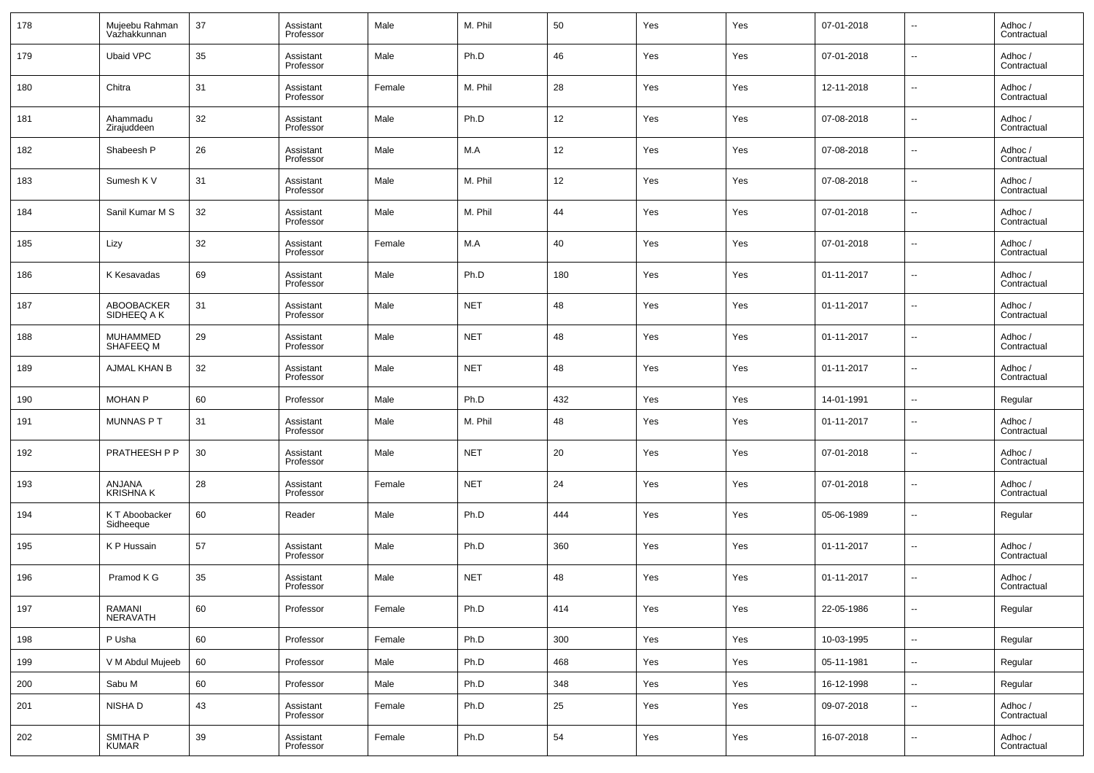| 178 | Mujeebu Rahman<br>Vazhakkunnan | 37 | Assistant<br>Professor | Male   | M. Phil    | 50  | Yes | Yes | 07-01-2018 | $\overline{\phantom{a}}$ | Adhoc /<br>Contractual |
|-----|--------------------------------|----|------------------------|--------|------------|-----|-----|-----|------------|--------------------------|------------------------|
| 179 | <b>Ubaid VPC</b>               | 35 | Assistant<br>Professor | Male   | Ph.D       | 46  | Yes | Yes | 07-01-2018 | $\overline{\phantom{a}}$ | Adhoc /<br>Contractual |
| 180 | Chitra                         | 31 | Assistant<br>Professor | Female | M. Phil    | 28  | Yes | Yes | 12-11-2018 | $\overline{\phantom{a}}$ | Adhoc /<br>Contractual |
| 181 | Ahammadu<br>Zirajuddeen        | 32 | Assistant<br>Professor | Male   | Ph.D       | 12  | Yes | Yes | 07-08-2018 | $\overline{\phantom{a}}$ | Adhoc /<br>Contractual |
| 182 | Shabeesh P                     | 26 | Assistant<br>Professor | Male   | M.A        | 12  | Yes | Yes | 07-08-2018 | $\overline{\phantom{a}}$ | Adhoc /<br>Contractual |
| 183 | Sumesh K V                     | 31 | Assistant<br>Professor | Male   | M. Phil    | 12  | Yes | Yes | 07-08-2018 | $\overline{\phantom{a}}$ | Adhoc /<br>Contractual |
| 184 | Sanil Kumar M S                | 32 | Assistant<br>Professor | Male   | M. Phil    | 44  | Yes | Yes | 07-01-2018 | $\overline{\phantom{a}}$ | Adhoc /<br>Contractual |
| 185 | Lizy                           | 32 | Assistant<br>Professor | Female | M.A        | 40  | Yes | Yes | 07-01-2018 | $\overline{\phantom{a}}$ | Adhoc /<br>Contractual |
| 186 | K Kesavadas                    | 69 | Assistant<br>Professor | Male   | Ph.D       | 180 | Yes | Yes | 01-11-2017 | $\overline{\phantom{a}}$ | Adhoc /<br>Contractual |
| 187 | ABOOBACKER<br>SIDHEEQ A K      | 31 | Assistant<br>Professor | Male   | <b>NET</b> | 48  | Yes | Yes | 01-11-2017 | $\overline{\phantom{a}}$ | Adhoc /<br>Contractual |
| 188 | MUHAMMED<br>SHAFEEQ M          | 29 | Assistant<br>Professor | Male   | <b>NET</b> | 48  | Yes | Yes | 01-11-2017 | $\overline{\phantom{a}}$ | Adhoc /<br>Contractual |
| 189 | AJMAL KHAN B                   | 32 | Assistant<br>Professor | Male   | <b>NET</b> | 48  | Yes | Yes | 01-11-2017 | $\overline{\phantom{a}}$ | Adhoc /<br>Contractual |
| 190 | <b>MOHAN P</b>                 | 60 | Professor              | Male   | Ph.D       | 432 | Yes | Yes | 14-01-1991 | $\sim$                   | Regular                |
| 191 | MUNNAS P T                     | 31 | Assistant<br>Professor | Male   | M. Phil    | 48  | Yes | Yes | 01-11-2017 | $\overline{\phantom{a}}$ | Adhoc /<br>Contractual |
| 192 | PRATHEESH P P                  | 30 | Assistant<br>Professor | Male   | <b>NET</b> | 20  | Yes | Yes | 07-01-2018 | $\overline{\phantom{a}}$ | Adhoc /<br>Contractual |
| 193 | ANJANA<br><b>KRISHNAK</b>      | 28 | Assistant<br>Professor | Female | <b>NET</b> | 24  | Yes | Yes | 07-01-2018 | $\overline{\phantom{a}}$ | Adhoc /<br>Contractual |
| 194 | K T Aboobacker<br>Sidheeque    | 60 | Reader                 | Male   | Ph.D       | 444 | Yes | Yes | 05-06-1989 | $\overline{\phantom{a}}$ | Regular                |
| 195 | K P Hussain                    | 57 | Assistant<br>Professor | Male   | Ph.D       | 360 | Yes | Yes | 01-11-2017 | $\overline{\phantom{a}}$ | Adhoc /<br>Contractual |
| 196 | Pramod K G                     | 35 | Assistant<br>Professor | Male   | <b>NET</b> | 48  | Yes | Yes | 01-11-2017 | $\overline{\phantom{a}}$ | Adhoc /<br>Contractual |
| 197 | RAMANI<br><b>NERAVATH</b>      | 60 | Professor              | Female | Ph.D       | 414 | Yes | Yes | 22-05-1986 | ۰.                       | Regular                |
| 198 | P Usha                         | 60 | Professor              | Female | Ph.D       | 300 | Yes | Yes | 10-03-1995 | $\overline{\phantom{a}}$ | Regular                |
| 199 | V M Abdul Mujeeb               | 60 | Professor              | Male   | Ph.D       | 468 | Yes | Yes | 05-11-1981 | $\overline{\phantom{a}}$ | Regular                |
| 200 | Sabu M                         | 60 | Professor              | Male   | Ph.D       | 348 | Yes | Yes | 16-12-1998 | $\overline{\phantom{a}}$ | Regular                |
| 201 | NISHA D                        | 43 | Assistant<br>Professor | Female | Ph.D       | 25  | Yes | Yes | 09-07-2018 | $\overline{\phantom{a}}$ | Adhoc /<br>Contractual |
| 202 | SMITHA P<br><b>KUMAR</b>       | 39 | Assistant<br>Professor | Female | Ph.D       | 54  | Yes | Yes | 16-07-2018 | $\overline{\phantom{a}}$ | Adhoc /<br>Contractual |